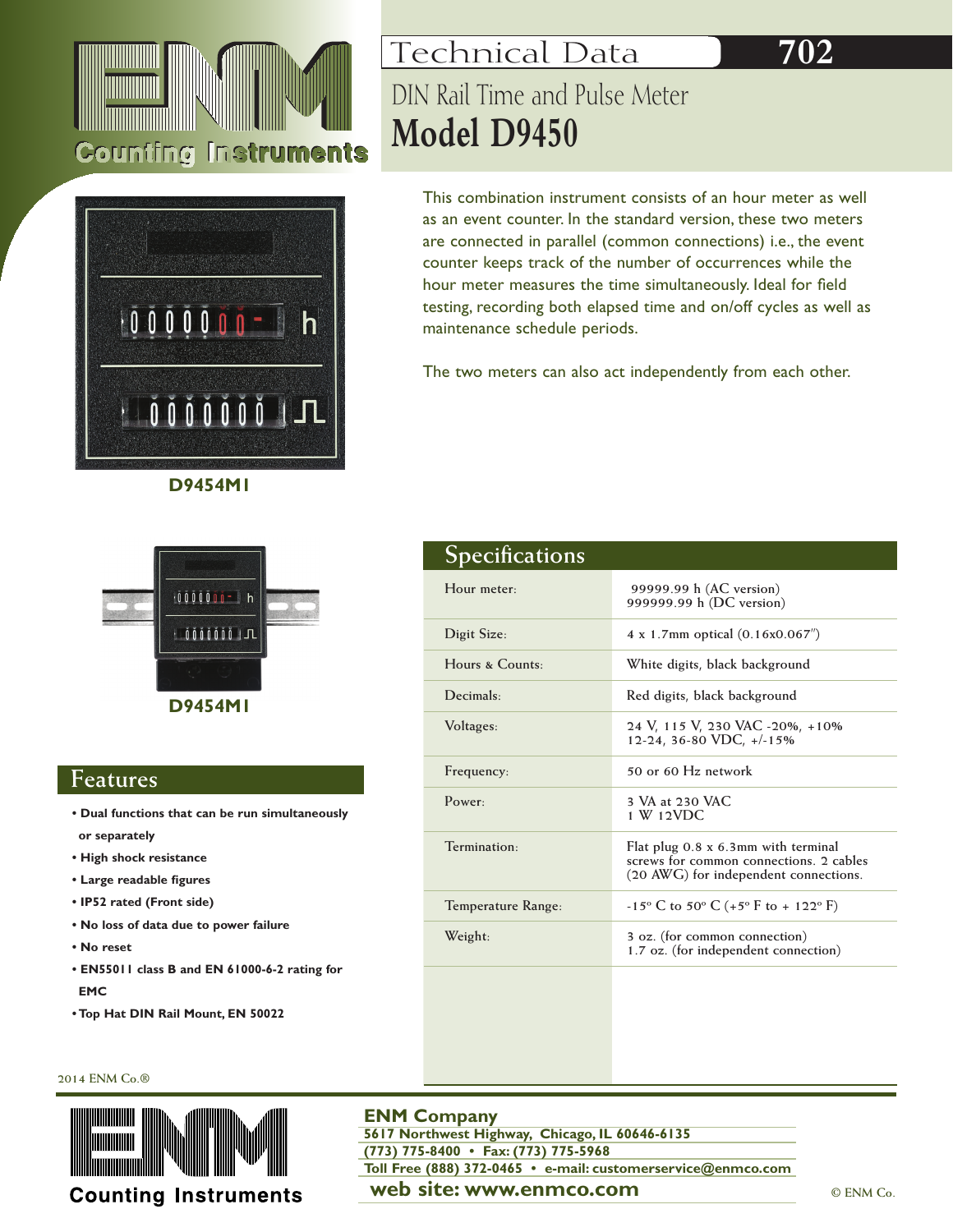







### **Features**

- **Dual functions that can be run simultaneously or separately**
- **High shock resistance**
- **Large readable figures**
- **IP52 rated (Front side)**
- **No loss of data due to power failure**
- **No reset**
- **EN55011 class B and EN 61000-6-2 rating for EMC**
- **Top Hat DIN Rail Mount, EN 50022**

# Technical Data DIN Rail Time and Pulse Meter **Model D9450**

This combination instrument consists of an hour meter as well as an event counter. In the standard version, these two meters are connected in parallel (common connections) i.e., the event counter keeps track of the number of occurrences while the hour meter measures the time simultaneously. Ideal for field testing, recording both elapsed time and on/off cycles as well as maintenance schedule periods.

**702**

The two meters can also act independently from each other.

| Specifications           |                                                                                                                         |
|--------------------------|-------------------------------------------------------------------------------------------------------------------------|
| Hour meter:              | 99999.99 h (AC version)<br>999999.99 h (DC version)                                                                     |
| Digit Size:              | 4 x 1.7mm optical $(0.16x0.067'')$                                                                                      |
| Hours & Counts:          | White digits, black background                                                                                          |
| Decimals                 | Red digits, black background                                                                                            |
| Voltages:                | 24 V, 115 V, 230 VAC -20%, +10%<br>12-24, 36-80 VDC, +/-15%                                                             |
| Frequency:               | 50 or 60 Hz network                                                                                                     |
| Power.                   | 3 VA at 230 VAC<br>$1 \text{ W}$ $12 \text{VDC}$                                                                        |
| Termination <sub>1</sub> | Flat plug 0.8 x 6.3mm with terminal<br>screws for common connections. 2 cables<br>(20 AWG) for independent connections. |
| Temperature Range:       | $-15^{\circ}$ C to 50° C (+5° F to + 122° F)                                                                            |
| Weight:                  | 3 oz. (for common connection)<br>1.7 oz. (for independent connection)                                                   |
|                          |                                                                                                                         |

#### **2014 ENM Co.®**



### **ENM Company**

**web site: www.enmco.com**  $\bullet$  **CENM Co. 5617 Northwest Highway, Chicago, IL 60646-6135 (773) 775-8400 • Fax: (773) 775-5968 Toll Free (888) 372-0465 • e-mail: customerservice@enmco.com**